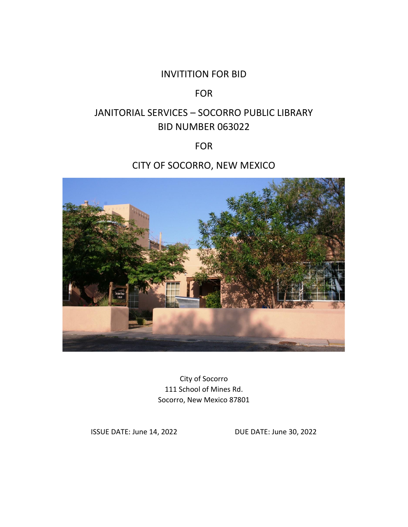# INVITITION FOR BID

# FOR

# JANITORIAL SERVICES – SOCORRO PUBLIC LIBRARY BID NUMBER 063022

## FOR

# CITY OF SOCORRO, NEW MEXICO



City of Socorro 111 School of Mines Rd. Socorro, New Mexico 87801

ISSUE DATE: June 14, 2022 DUE DATE: June 30, 2022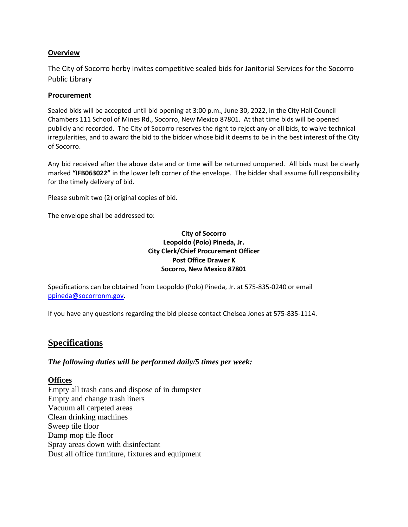#### **Overview**

The City of Socorro herby invites competitive sealed bids for Janitorial Services for the Socorro Public Library

#### **Procurement**

Sealed bids will be accepted until bid opening at 3:00 p.m., June 30, 2022, in the City Hall Council Chambers 111 School of Mines Rd., Socorro, New Mexico 87801. At that time bids will be opened publicly and recorded. The City of Socorro reserves the right to reject any or all bids, to waive technical irregularities, and to award the bid to the bidder whose bid it deems to be in the best interest of the City of Socorro.

Any bid received after the above date and or time will be returned unopened. All bids must be clearly marked **"IFB063022"** in the lower left corner of the envelope. The bidder shall assume full responsibility for the timely delivery of bid.

Please submit two (2) original copies of bid.

The envelope shall be addressed to:

#### **City of Socorro Leopoldo (Polo) Pineda, Jr. City Clerk/Chief Procurement Officer Post Office Drawer K Socorro, New Mexico 87801**

Specifications can be obtained from Leopoldo (Polo) Pineda, Jr. at 575-835-0240 or email [ppineda@socorronm.gov.](mailto:ppineda@socorronm.gov)

If you have any questions regarding the bid please contact Chelsea Jones at 575-835-1114.

## **Specifications**

#### *The following duties will be performed daily/5 times per week:*

#### **Offices**

Empty all trash cans and dispose of in dumpster Empty and change trash liners Vacuum all carpeted areas Clean drinking machines Sweep tile floor Damp mop tile floor Spray areas down with disinfectant Dust all office furniture, fixtures and equipment